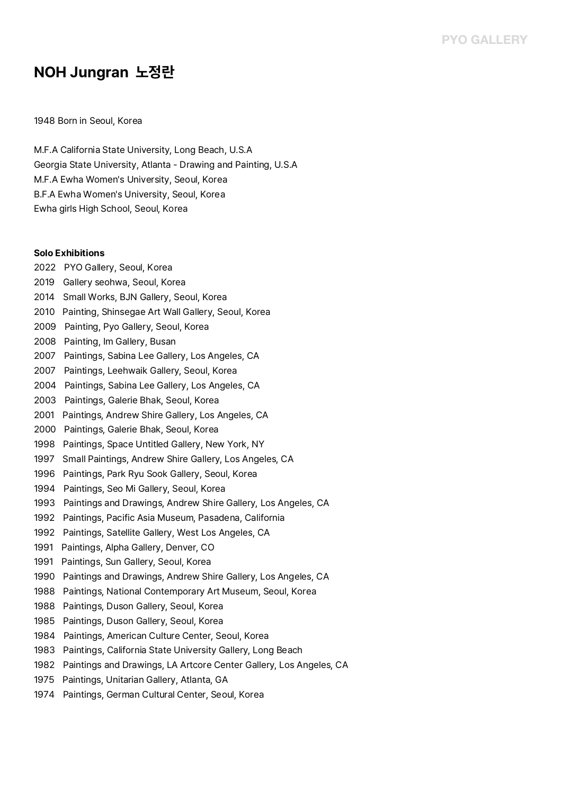# **NOH Jungran 노정란**

### 1948 Born in Seoul, Korea

M.F.A California State University, Long Beach, U.S.A Georgia State University, Atlanta - Drawing and Painting, U.S.A .<br>Georgia State University, Atlanta - Drawing an<br>M.F.A Ewha Women's University, Seoul, Korea M.F.A Ewha Women's University, Seoul, Korea<br>B.F.A Ewha Women's University, Seoul, Korea Ewha girls High School, Seoul, Korea

#### **Solo Exhibitions**

2022 PYO Gallery, Seoul, Korea 2019 Gallery seohwa, Seoul, Korea 2014 Small Works, BJN Gallery, Seoul, Korea 2010 Painting, Shinsegae Art Wall Gallery, Seoul, Korea 2009 Painting, Pyo Gallery, Seoul, Korea 2008 Painting, Im Gallery, Busan 2007 Paintings, Sabina Lee Gallery, Los Angeles, CA 2007 Paintings, Leehwaik Gallery, Seoul, Korea 2004 Paintings, Sabina Lee Gallery, Los Angeles, CA 2003 Paintings, Galerie Bhak, Seoul, Korea 2001 Paintings, Andrew Shire Gallery, Los Angeles, CA 2000 Paintings, Galerie Bhak, Seoul, Korea 1998 Paintings, Space Untitled Gallery, New York, NY 1997 Small Paintings, Andrew Shire Gallery, Los Angeles, CA 1996 Paintings, Park Ryu Sook Gallery, Seoul, Korea 1994 Paintings, Seo Mi Gallery, Seoul, Korea 1993 Paintings and Drawings, Andrew Shire Gallery, Los Angeles, CA 1992 Paintings, Pacific Asia Museum, Pasadena, California 1992 Paintings, Satellite Gallery, West Los Angeles, CA 1991 Paintings, Alpha Gallery, Denver, CO 1991 Paintings, Sun Gallery, Seoul, Korea 1990 Paintings and Drawings, Andrew Shire Gallery, Los Angeles, CA 1988 Paintings, National Contemporary Art Museum, Seoul, Korea 1988 Paintings, Duson Gallery, Seoul, Korea 1985 Paintings, Duson Gallery, Seoul, Korea 1984 Paintings, American Culture Center, Seoul, Korea 1983 Paintings, California State University Gallery, Long Beach 1982 Paintings and Drawings, LA Artcore Center Gallery, Los Angeles, CA 1975 Paintings, Unitarian Gallery, Atlanta, GA 1974 Paintings, German Cultural Center, Seoul, Korea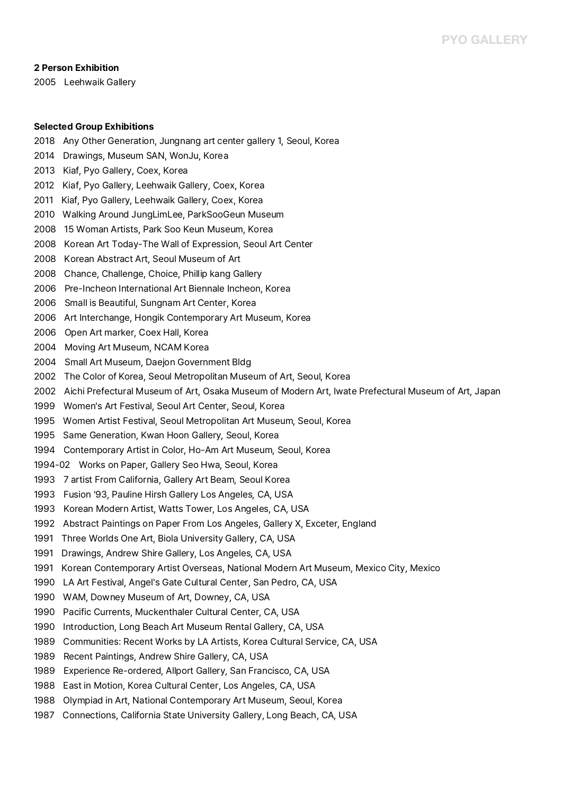#### **2 Person Exhibition**

2005 Leehwaik Gallery

#### **Selected Group Exhibitions**

2018 Any Other Generation, Jungnang art center gallery 1, Seoul, Korea 2014 Drawings, Museum SAN, WonJu, Korea 2013 Kiaf, Pyo Gallery, Coex, Korea 2012 Kiaf, Pyo Gallery, Leehwaik Gallery, Coex, Korea 2011 Kiaf, Pyo Gallery, Leehwaik Gallery, Coex, Korea 2010 Walking Around JungLimLee, ParkSooGeun Museum 2008 15 Woman Artists, Park Soo Keun Museum, Korea 2008 Korean Art Today-The Wall of Expression, Seoul Art Center 2008 Korean Abstract Art, Seoul Museum of Art 2008 Chance, Challenge, Choice, Phillip kang Gallery 2006 Pre-Incheon International Art Biennale Incheon, Korea 2006 Small is Beautiful, Sungnam Art Center, Korea 2006 Art Interchange, Hongik Contemporary Art Museum, Korea 2006 Open Art marker, Coex Hall, Korea 2004 Moving Art Museum, NCAM Korea 2004 Small Art Museum, Daejon Government Bldg 2002 The Color of Korea, Seoul Metropolitan Museum of Art, Seoul, Korea 2002 Aichi Prefectural Museum of Art, Osaka Museum of Modern Art, Iwate Prefectural Museum of Art, Japan 1999 Women's Art Festival, Seoul Art Center, Seoul, Korea 1995 Women Artist Festival, Seoul Metropolitan Art Museum, Seoul, Korea 1995 Same Generation, Kwan Hoon Gallery, Seoul, Korea 1994 Contemporary Artist in Color, Ho-Am Art Museum, Seoul, Korea 1994-02 Works on Paper, Gallery Seo Hwa, Seoul, Korea 1993 7 artist From California, Gallery Art Beam, Seoul Korea<br>1993 Fusion '93, Pauline Hirsh Gallery Los Angeles, CA, USA 1993 Korean Modern Artist, Watts Tower, Los Angeles, CA, USA 1992 Abstract Paintings on Paper From Los Angeles, Gallery X, Exceter, England 1991 Three Worlds One Art, Biola University Gallery, CA, USA 1991 Drawings, Andrew Shire Gallery, Los Angeles, CA, USA 1991 Korean Contemporary Artist Overseas, National Modern Art Museum, Mexico City, Mexico 1990 LA Art Festival, Angel's Gate Cultural Center, San Pedro, CA, USA 1990 WAM, Downey Museum of Art, Downey, CA, USA 1990 Pacific Currents, Muckenthaler Cultural Center, CA, USA 1990 Introduction, Long Beach Art Museum Rental Gallery, CA, USA 1989 Communities: Recent Works by LA Artists, Korea Cultural Service, CA, USA 1989 Recent Paintings, Andrew Shire Gallery, CA, USA 1989 Experience Re-ordered, Allport Gallery, San Francisco, CA, USA 1988 East in Motion, Korea Cultural Center, Los Angeles, CA, USA 1988 Olympiad in Art, National Contemporary Art Museum, Seoul, Korea 1987 Connections, California State University Gallery, Long Beach, CA, USA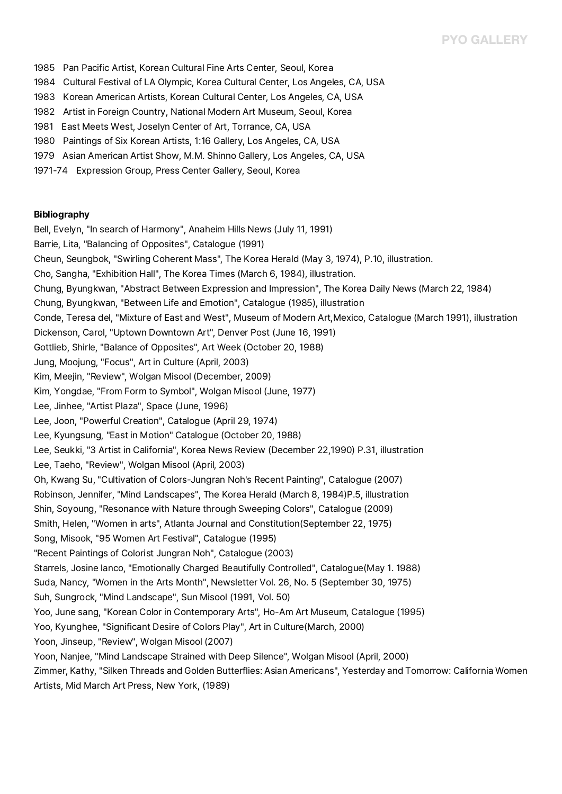# **PYO GALLERY**

- 1985 Pan Pacific Artist, Korean Cultural Fine Arts Center, Seoul, Korea
- 1984 Cultural Festival of LA Olympic, Korea Cultural Center, Los Angeles, CA, USA
- 1983 Korean American Artists, Korean Cultural Center, Los Angeles, CA, USA
- 1982 Artist in Foreign Country, National Modern Art Museum, Seoul, Korea
- 1981 East Meets West, Joselyn Center of Art, Torrance, CA, USA
- 1980 Paintings of Six Korean Artists, 1:16 Gallery, Los Angeles, CA, USA
- 1979 Asian American Artist Show, M.M. Shinno Gallery, Los Angeles, CA, USA
- 1971-74 Expression Group, Press Center Gallery, Seoul, Korea

#### **Bibliography**

Bell, Evelyn, "In search of Harmony", Anaheim Hills News (July 11, 1991) Barrie, Lita, "Balancing of Opposites", Catalogue (1991) Cheun, Seungbok, "Swirling Coherent Mass", The Korea Herald (May 3, 1974), P.10, illustration. Cho, Sangha, "Exhibition Hall", The Korea Times (March 6, 1984), illustration. Chung, Byungkwan, "Abstract Between Expression and Impression", The Korea Daily News (March 22, 1984) Chung, Byungkwan, "Between Life and Emotion", Catalogue (1985), illustration Conde, Teresa del, "Mixture of East and West", Museum of Modern Art,Mexico, Catalogue (March 1991), illustration Dickenson, Carol, "Uptown Downtown Art", Denver Post (June 16, 1991) Gottlieb, Shirle, "Balance of Opposites", Art Week (October 20, 1988) Jung, Moojung, "Focus", Art in Culture (April, 2003) Kim, Meejin, "Review", Wolgan Misool (December, 2009) Kim, Yongdae, "From Form to Symbol", Wolgan Misool (June, 1977) Lee, Jinhee, "Artist Plaza", Space (June, 1996) Lee, Joon, "Powerful Creation", Catalogue (April 29, 1974) Lee, Kyungsung, "East in Motion" Catalogue (October 20, 1988) Lee, Seukki, "3 Artist in California", Korea News Review (December 22,1990) P.31, illustration Lee, Taeho, "Review", Wolgan Misool (April, 2003) Oh, Kwang Su, "Cultivation of Colors-Jungran Noh's Recent Painting", Catalogue (2007) Robinson, Jennifer, "Mind Landscapes", The Korea Herald (March 8, 1984)P.5, illustration Shin, Soyoung, "Resonance with Nature through Sweeping Colors", Catalogue (2009) Smith, Helen, "Women in arts", Atlanta Journal and Constitution(September 22, 1975) Song, Misook, "95 Women Art Festival", Catalogue (1995) "Recent Paintings of Colorist Jungran Noh", Catalogue (2003) Starrels, Josine lanco, "Emotionally Charged Beautifully Controlled", Catalogue(May 1. 1988) Suda, Nancy, "Women in the Arts Month", Newsletter Vol. 26, No. 5 (September 30, 1975) Suh, Sungrock, "Mind Landscape", Sun Misool (1991, Vol. 50) Yoo, June sang, "Korean Color in Contemporary Arts", Ho-Am Art Museum, Catalogue (1995) Yoo, Kyunghee, "Significant Desire of Colors Play", Art in Culture(March, 2000) Yoon, Jinseup, "Review", Wolgan Misool (2007) Yoon, Nanjee, "Mind Landscape Strained with Deep Silence", Wolgan Misool (April, 2000) Zimmer, Kathy, "Silken Threads and Golden Butterflies: Asian Americans", Yesterday and Tomorrow: California Women<br>Artists, Mid March Art Press, New York, (1989)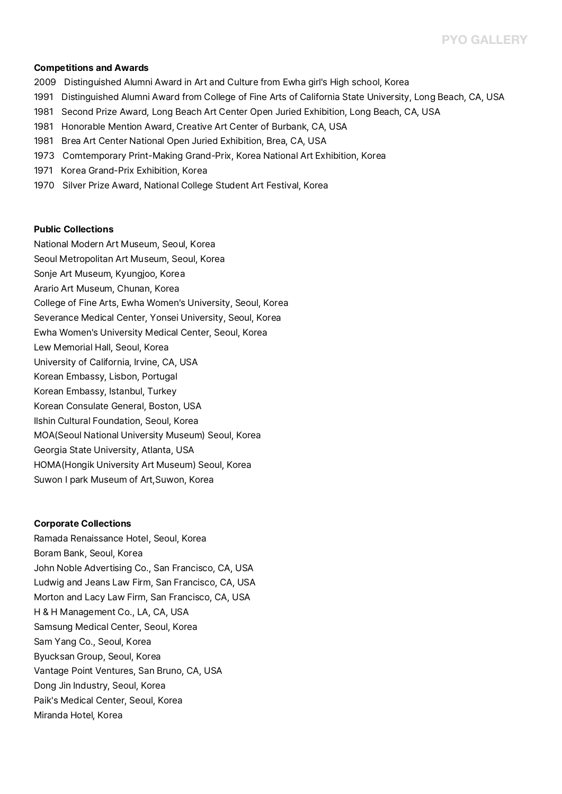#### **Competitions and Awards**

- <sup>2009</sup> Distinguished Alumni Award in Art and Culture from Ewha girl's High school, Korea
- 1991 Distinguished Alumni Award from College of Fine Arts of California State University, Long Beach, CA, USA
- 1981 Second Prize Award, Long Beach Art Center Open Juried Exhibition, Long Beach, CA, USA
- 1981 Honorable Mention Award, Creative Art Center of Burbank, CA, USA
- 1981 Brea Art Center National Open Juried Exhibition, Brea, CA, USA
- 1973 Comtemporary Print-Making Grand-Prix, Korea National Art Exhibition, Korea
- 1971 Korea Grand-Prix Exhibition, Korea
- 1970 Silver Prize Award, National College Student Art Festival, Korea

#### **Public Collections**

National Modern Art Museum, Seoul, Korea Seoul Metropolitan Art Museum, Seoul, Korea Sonje Art Museum, Kyungjoo, Korea Arario Art Museum, Chunan, Korea College of Fine Arts, Ewha Women's University, Seoul, Korea Severance Medical Center, Yonsei University, Seoul, Korea Ewha Women's University Medical Center, Seoul, Korea Lew Memorial Hall, Seoul, Korea University of California, Irvine, CA, USA Korean Embassy, Lisbon, Portugal Korean Embassy, Istanbul, Turkey Korean Consulate General, Boston, USA Ilshin Cultural Foundation, Seoul, Korea MOA(Seoul National University Museum) Seoul, Korea Georgia State University, Atlanta, USA HOMA(Hongik University Art Museum) Seoul, Korea Suwon I park Museum of Art,Suwon, Korea

#### **Corporate Collections**

Ramada Renaissance Hotel, Seoul, Korea Boram Bank, Seoul, Korea John Noble Advertising Co., San Francisco, CA, USA Ludwig and Jeans Law Firm, San Francisco, CA, USA Morton and Lacy Law Firm, San Francisco, CA, USA H & H Management Co., LA, CA, USA Samsung Medical Center, Seoul, Korea Sam Yang Co., Seoul, Korea Byucksan Group, Seoul, Korea Vantage Point Ventures, San Bruno, CA, USA Dong Jin Industry, Seoul, Korea Paik's Medical Center, Seoul, Korea Miranda Hotel, Korea